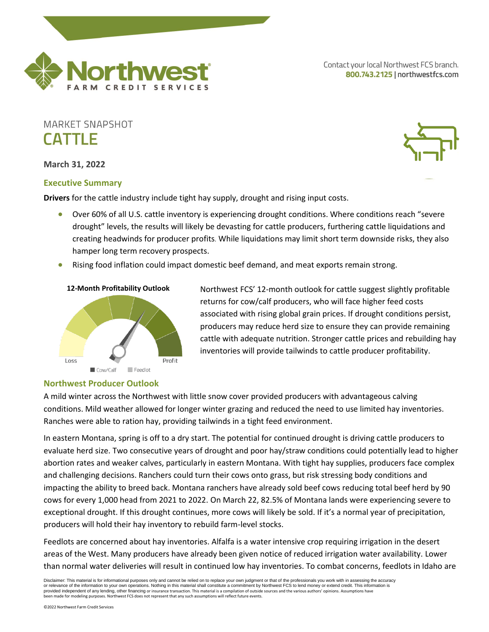

Contact your local Northwest FCS branch. 800.743.2125 | northwestfcs.com

# **MARKET SNAPSHOT CATTLE**

**March 31, 2022**

### **Executive Summary**

**Drivers** for the cattle industry include tight hay supply, drought and rising input costs.

- Over 60% of all U.S. cattle inventory is experiencing drought conditions. Where conditions reach "severe drought" levels, the results will likely be devasting for cattle producers, furthering cattle liquidations and creating headwinds for producer profits. While liquidations may limit short term downside risks, they also hamper long term recovery prospects.
- Rising food inflation could impact domestic beef demand, and meat exports remain strong.



Northwest FCS' 12-month outlook for cattle suggest slightly profitable returns for cow/calf producers, who will face higher feed costs associated with rising global grain prices. If drought conditions persist, producers may reduce herd size to ensure they can provide remaining cattle with adequate nutrition. Stronger cattle prices and rebuilding hay inventories will provide tailwinds to cattle producer profitability.

#### **Northwest Producer Outlook**

A mild winter across the Northwest with little snow cover provided producers with advantageous calving conditions. Mild weather allowed for longer winter grazing and reduced the need to use limited hay inventories. Ranches were able to ration hay, providing tailwinds in a tight feed environment.

In eastern Montana, spring is off to a dry start. The potential for continued drought is driving cattle producers to evaluate herd size. Two consecutive years of drought and poor hay/straw conditions could potentially lead to higher abortion rates and weaker calves, particularly in eastern Montana. With tight hay supplies, producers face complex and challenging decisions. Ranchers could turn their cows onto grass, but risk stressing body conditions and impacting the ability to breed back. Montana ranchers have already sold beef cows reducing total beef herd by 90 cows for every 1,000 head from 2021 to 2022. On March 22, 82.5% of Montana lands were experiencing severe to exceptional drought. If this drought continues, more cows will likely be sold. If it's a normal year of precipitation, producers will hold their hay inventory to rebuild farm-level stocks.

Feedlots are concerned about hay inventories. Alfalfa is a water intensive crop requiring irrigation in the desert areas of the West. Many producers have already been given notice of reduced irrigation water availability. Lower than normal water deliveries will result in continued low hay inventories. To combat concerns, feedlots in Idaho are

Disclaimer: This material is for informational purposes only and cannot be relied on to replace your own judgment or that of the professionals you work with in assessing the accuracy<br>or relevance of the information to your provided independent of any lending, other financing or insurance transaction. This material is a compilation of outside sources and the various authors' opinions. Assumptions have been made for modeling purposes. Northwest FCS does not represent that any such assumptions will reflect future events.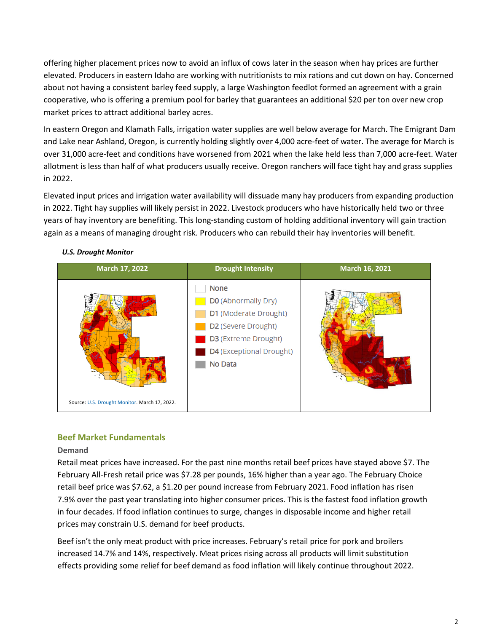offering higher placement prices now to avoid an influx of cows later in the season when hay prices are further elevated. Producers in eastern Idaho are working with nutritionists to mix rations and cut down on hay. Concerned about not having a consistent barley feed supply, a large Washington feedlot formed an agreement with a grain cooperative, who is offering a premium pool for barley that guarantees an additional \$20 per ton over new crop market prices to attract additional barley acres.

In eastern Oregon and Klamath Falls, irrigation water supplies are well below average for March. The Emigrant Dam and Lake near Ashland, Oregon, is currently holding slightly over 4,000 acre-feet of water. The average for March is over 31,000 acre-feet and conditions have worsened from 2021 when the lake held less than 7,000 acre-feet. Water allotment is less than half of what producers usually receive. Oregon ranchers will face tight hay and grass supplies in 2022.

Elevated input prices and irrigation water availability will dissuade many hay producers from expanding production in 2022. Tight hay supplies will likely persist in 2022. Livestock producers who have historically held two or three years of hay inventory are benefiting. This long-standing custom of holding additional inventory will gain traction again as a means of managing drought risk. Producers who can rebuild their hay inventories will benefit.



# *U.S. Drought Monitor*

# **Beef Market Fundamentals**

### **Demand**

Retail meat prices have increased. For the past nine months retail beef prices have stayed above \$7. The February All-Fresh retail price was \$7.28 per pounds, 16% higher than a year ago. The February Choice retail beef price was \$7.62, a \$1.20 per pound increase from February 2021. Food inflation has risen 7.9% over the past year translating into higher consumer prices. This is the fastest food inflation growth in four decades. If food inflation continues to surge, changes in disposable income and higher retail prices may constrain U.S. demand for beef products.

Beef isn't the only meat product with price increases. February's retail price for pork and broilers increased 14.7% and 14%, respectively. Meat prices rising across all products will limit substitution effects providing some relief for beef demand as food inflation will likely continue throughout 2022.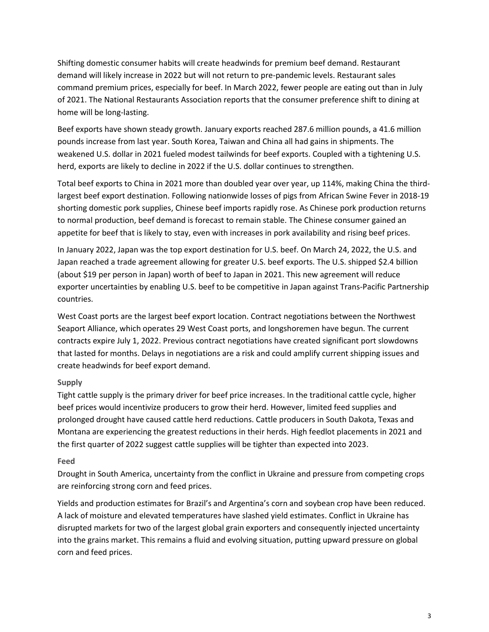Shifting domestic consumer habits will create headwinds for premium beef demand. Restaurant demand will likely increase in 2022 but will not return to pre-pandemic levels. Restaurant sales command premium prices, especially for beef. In March 2022, fewer people are eating out than in July of 2021. The National Restaurants Association reports that the consumer preference shift to dining at home will be long-lasting.

Beef exports have shown steady growth. January exports reached 287.6 million pounds, a 41.6 million pounds increase from last year. South Korea, Taiwan and China all had gains in shipments. The weakened U.S. dollar in 2021 fueled modest tailwinds for beef exports. Coupled with a tightening U.S. herd, exports are likely to decline in 2022 if the U.S. dollar continues to strengthen.

Total beef exports to China in 2021 more than doubled year over year, up 114%, making China the thirdlargest beef export destination. Following nationwide losses of pigs from African Swine Fever in 2018-19 shorting domestic pork supplies, Chinese beef imports rapidly rose. As Chinese pork production returns to normal production, beef demand is forecast to remain stable. The Chinese consumer gained an appetite for beef that is likely to stay, even with increases in pork availability and rising beef prices.

In January 2022, Japan was the top export destination for U.S. beef. On March 24, 2022, the U.S. and Japan reached a trade agreement allowing for greater U.S. beef exports. The U.S. shipped \$2.4 billion (about \$19 per person in Japan) worth of beef to Japan in 2021. This new agreement will reduce exporter uncertainties by enabling U.S. beef to be competitive in Japan against Trans-Pacific Partnership countries.

West Coast ports are the largest beef export location. Contract negotiations between the Northwest Seaport Alliance, which operates 29 West Coast ports, and longshoremen have begun. The current contracts expire July 1, 2022. Previous contract negotiations have created significant port slowdowns that lasted for months. Delays in negotiations are a risk and could amplify current shipping issues and create headwinds for beef export demand.

### **Supply**

Tight cattle supply is the primary driver for beef price increases. In the traditional cattle cycle, higher beef prices would incentivize producers to grow their herd. However, limited feed supplies and prolonged drought have caused cattle herd reductions. Cattle producers in South Dakota, Texas and Montana are experiencing the greatest reductions in their herds. High feedlot placements in 2021 and the first quarter of 2022 suggest cattle supplies will be tighter than expected into 2023.

### **Feed**

Drought in South America, uncertainty from the conflict in Ukraine and pressure from competing crops are reinforcing strong corn and feed prices.

Yields and production estimates for Brazil's and Argentina's corn and soybean crop have been reduced. A lack of moisture and elevated temperatures have slashed yield estimates. Conflict in Ukraine has disrupted markets for two of the largest global grain exporters and consequently injected uncertainty into the grains market. This remains a fluid and evolving situation, putting upward pressure on global corn and feed prices.